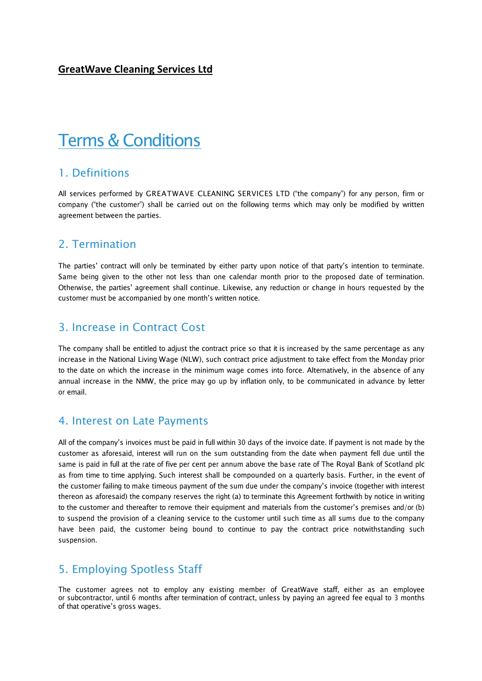#### **GreatWave Cleaning Services Ltd**

# Terms & Conditions

### 1. Definitions

All services performed by GREATWAVE CLEANING SERVICES LTD ("the company") for any person, firm or company ("the customer") shall be carried out on the following terms which may only be modified by written agreement between the parties.

#### 2. Termination

The parties' contract will only be terminated by either party upon notice of that party's intention to terminate. Same being given to the other not less than one calendar month prior to the proposed date of termination. Otherwise, the parties' agreement shall continue. Likewise, any reduction or change in hours requested by the customer must be accompanied by one month's written notice.

### 3. Increase in Contract Cost

The company shall be entitled to adjust the contract price so that it is increased by the same percentage as any increase in the National Living Wage (NLW), such contract price adjustment to take effect from the Monday prior to the date on which the increase in the minimum wage comes into force. Alternatively, in the absence of any annual increase in the NMW, the price may go up by inflation only, to be communicated in advance by letter or email.

#### 4. Interest on Late Payments

All of the company's invoices must be paid in full within 30 days of the invoice date. If payment is not made by the customer as aforesaid, interest will run on the sum outstanding from the date when payment fell due until the same is paid in full at the rate of five per cent per annum above the base rate of The Royal Bank of Scotland plc as from time to time applying. Such interest shall be compounded on a quarterly basis. Further, in the event of the customer failing to make timeous payment of the sum due under the company's invoice (together with interest thereon as aforesaid) the company reserves the right (a) to terminate this Agreement forthwith by notice in writing to the customer and thereafter to remove their equipment and materials from the customer's premises and/or (b) to suspend the provision of a cleaning service to the customer until such time as all sums due to the company have been paid, the customer being bound to continue to pay the contract price notwithstanding such suspension.

## 5. Employing Spotless Staff

The customer agrees not to employ any existing member of GreatWave staff, either as an employee or subcontractor, until 6 months after termination of contract, unless by paying an agreed fee equal to 3 months of that operative's gross wages.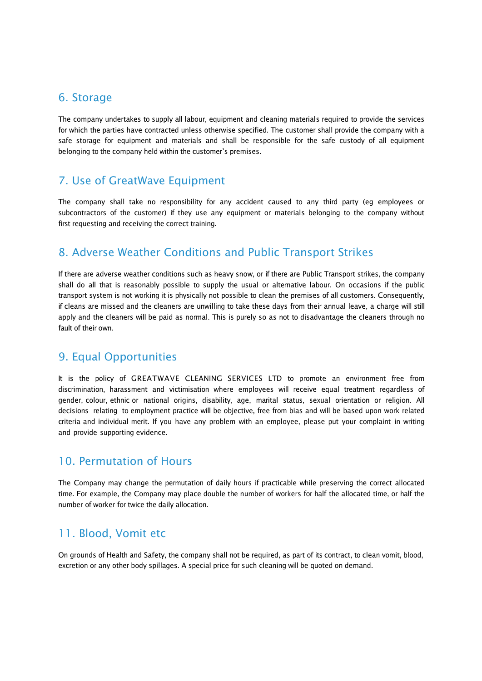#### 6. Storage

The company undertakes to supply all labour, equipment and cleaning materials required to provide the services for which the parties have contracted unless otherwise specified. The customer shall provide the company with a safe storage for equipment and materials and shall be responsible for the safe custody of all equipment belonging to the company held within the customer's premises.

# 7. Use of GreatWave Equipment

The company shall take no responsibility for any accident caused to any third party (eg employees or subcontractors of the customer) if they use any equipment or materials belonging to the company without first requesting and receiving the correct training.

# 8. Adverse Weather Conditions and Public Transport Strikes

If there are adverse weather conditions such as heavy snow, or if there are Public Transport strikes, the company shall do all that is reasonably possible to supply the usual or alternative labour. On occasions if the public transport system is not working it is physically not possible to clean the premises of all customers. Consequently, if cleans are missed and the cleaners are unwilling to take these days from their annual leave, a charge will still apply and the cleaners will be paid as normal. This is purely so as not to disadvantage the cleaners through no fault of their own.

## 9. Equal Opportunities

It is the policy of GREATWAVE CLEANING SERVICES LTD to promote an environment free from discrimination, harassment and victimisation where employees will receive equal treatment regardless of gender, colour, ethnic or national origins, disability, age, marital status, sexual orientation or religion. All decisions relating to employment practice will be objective, free from bias and will be based upon work related criteria and individual merit. If you have any problem with an employee, please put your complaint in writing and provide supporting evidence.

## 10. Permutation of Hours

The Company may change the permutation of daily hours if practicable while preserving the correct allocated time. For example, the Company may place double the number of workers for half the allocated time, or half the number of worker for twice the daily allocation.

# 11. Blood, Vomit etc

On grounds of Health and Safety, the company shall not be required, as part of its contract, to clean vomit, blood, excretion or any other body spillages. A special price for such cleaning will be quoted on demand.